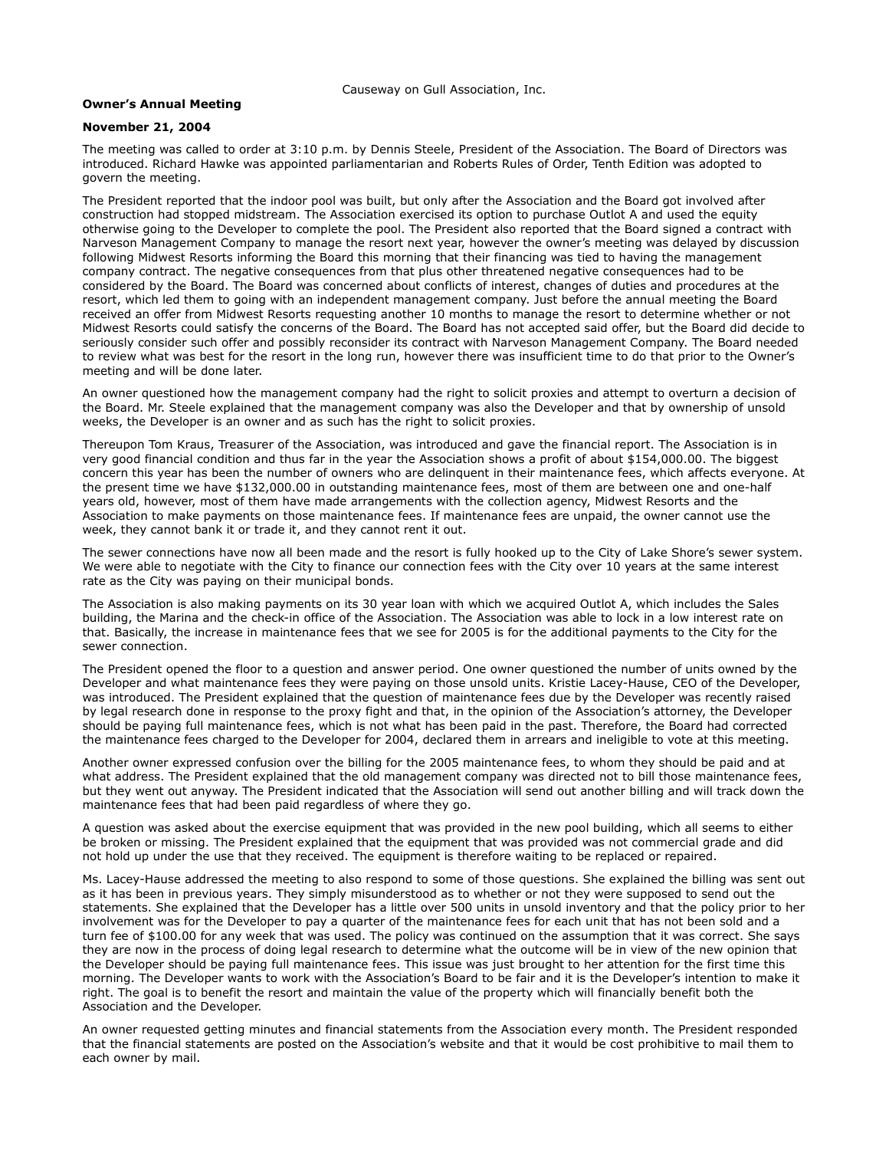Causeway on Gull Association, Inc.

## **Owner's Annual Meeting**

## **November 21, 2004**

The meeting was called to order at 3:10 p.m. by Dennis Steele, President of the Association. The Board of Directors was introduced. Richard Hawke was appointed parliamentarian and Roberts Rules of Order, Tenth Edition was adopted to govern the meeting.

The President reported that the indoor pool was built, but only after the Association and the Board got involved after construction had stopped midstream. The Association exercised its option to purchase Outlot A and used the equity otherwise going to the Developer to complete the pool. The President also reported that the Board signed a contract with Narveson Management Company to manage the resort next year, however the owner's meeting was delayed by discussion following Midwest Resorts informing the Board this morning that their financing was tied to having the management company contract. The negative consequences from that plus other threatened negative consequences had to be considered by the Board. The Board was concerned about conflicts of interest, changes of duties and procedures at the resort, which led them to going with an independent management company. Just before the annual meeting the Board received an offer from Midwest Resorts requesting another 10 months to manage the resort to determine whether or not Midwest Resorts could satisfy the concerns of the Board. The Board has not accepted said offer, but the Board did decide to seriously consider such offer and possibly reconsider its contract with Narveson Management Company. The Board needed to review what was best for the resort in the long run, however there was insufficient time to do that prior to the Owner's meeting and will be done later.

An owner questioned how the management company had the right to solicit proxies and attempt to overturn a decision of the Board. Mr. Steele explained that the management company was also the Developer and that by ownership of unsold weeks, the Developer is an owner and as such has the right to solicit proxies.

Thereupon Tom Kraus, Treasurer of the Association, was introduced and gave the financial report. The Association is in very good financial condition and thus far in the year the Association shows a profit of about \$154,000.00. The biggest concern this year has been the number of owners who are delinquent in their maintenance fees, which affects everyone. At the present time we have \$132,000.00 in outstanding maintenance fees, most of them are between one and one-half years old, however, most of them have made arrangements with the collection agency, Midwest Resorts and the Association to make payments on those maintenance fees. If maintenance fees are unpaid, the owner cannot use the week, they cannot bank it or trade it, and they cannot rent it out.

The sewer connections have now all been made and the resort is fully hooked up to the City of Lake Shore's sewer system. We were able to negotiate with the City to finance our connection fees with the City over 10 years at the same interest rate as the City was paying on their municipal bonds.

The Association is also making payments on its 30 year loan with which we acquired Outlot A, which includes the Sales building, the Marina and the check-in office of the Association. The Association was able to lock in a low interest rate on that. Basically, the increase in maintenance fees that we see for 2005 is for the additional payments to the City for the sewer connection.

The President opened the floor to a question and answer period. One owner questioned the number of units owned by the Developer and what maintenance fees they were paying on those unsold units. Kristie Lacey-Hause, CEO of the Developer, was introduced. The President explained that the question of maintenance fees due by the Developer was recently raised by legal research done in response to the proxy fight and that, in the opinion of the Association's attorney, the Developer should be paying full maintenance fees, which is not what has been paid in the past. Therefore, the Board had corrected the maintenance fees charged to the Developer for 2004, declared them in arrears and ineligible to vote at this meeting.

Another owner expressed confusion over the billing for the 2005 maintenance fees, to whom they should be paid and at what address. The President explained that the old management company was directed not to bill those maintenance fees, but they went out anyway. The President indicated that the Association will send out another billing and will track down the maintenance fees that had been paid regardless of where they go.

A question was asked about the exercise equipment that was provided in the new pool building, which all seems to either be broken or missing. The President explained that the equipment that was provided was not commercial grade and did not hold up under the use that they received. The equipment is therefore waiting to be replaced or repaired.

Ms. Lacey-Hause addressed the meeting to also respond to some of those questions. She explained the billing was sent out as it has been in previous years. They simply misunderstood as to whether or not they were supposed to send out the statements. She explained that the Developer has a little over 500 units in unsold inventory and that the policy prior to her involvement was for the Developer to pay a quarter of the maintenance fees for each unit that has not been sold and a turn fee of \$100.00 for any week that was used. The policy was continued on the assumption that it was correct. She says they are now in the process of doing legal research to determine what the outcome will be in view of the new opinion that the Developer should be paying full maintenance fees. This issue was just brought to her attention for the first time this morning. The Developer wants to work with the Association's Board to be fair and it is the Developer's intention to make it right. The goal is to benefit the resort and maintain the value of the property which will financially benefit both the Association and the Developer.

An owner requested getting minutes and financial statements from the Association every month. The President responded that the financial statements are posted on the Association's website and that it would be cost prohibitive to mail them to each owner by mail.